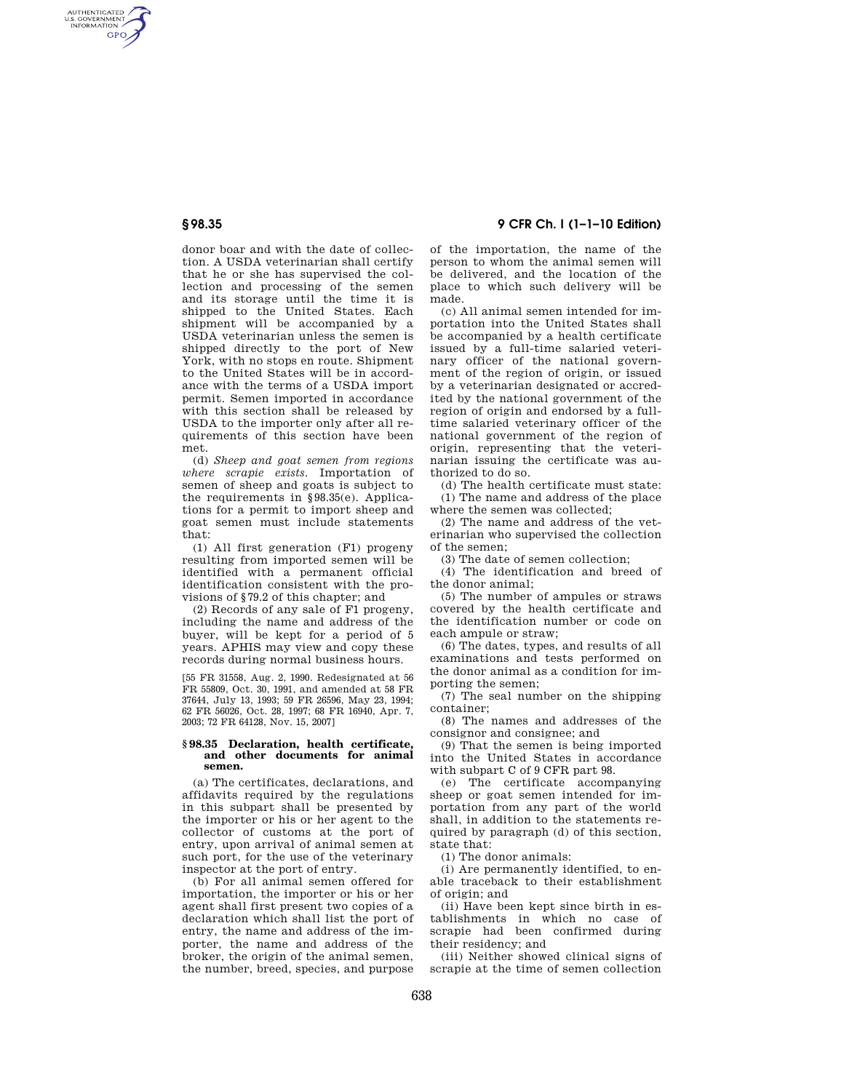AUTHENTICATED<br>U.S. GOVERNMENT<br>INFORMATION **GPO** 

> donor boar and with the date of collection. A USDA veterinarian shall certify that he or she has supervised the collection and processing of the semen and its storage until the time it is shipped to the United States. Each shipment will be accompanied by a USDA veterinarian unless the semen is shipped directly to the port of New York, with no stops en route. Shipment to the United States will be in accordance with the terms of a USDA import permit. Semen imported in accordance with this section shall be released by USDA to the importer only after all requirements of this section have been met.

> (d) *Sheep and goat semen from regions where scrapie exists.* Importation of semen of sheep and goats is subject to the requirements in §98.35(e). Applications for a permit to import sheep and goat semen must include statements that:

> (1) All first generation (F1) progeny resulting from imported semen will be identified with a permanent official identification consistent with the provisions of §79.2 of this chapter; and

> (2) Records of any sale of F1 progeny, including the name and address of the buyer, will be kept for a period of 5 years. APHIS may view and copy these records during normal business hours.

> [55 FR 31558, Aug. 2, 1990. Redesignated at 56 FR 55809, Oct. 30, 1991, and amended at 58 FR 37644, July 13, 1993; 59 FR 26596, May 23, 1994; 62 FR 56026, Oct. 28, 1997; 68 FR 16940, Apr. 7, 2003; 72 FR 64128, Nov. 15, 2007]

## **§ 98.35 Declaration, health certificate, and other documents for animal semen.**

(a) The certificates, declarations, and affidavits required by the regulations in this subpart shall be presented by the importer or his or her agent to the collector of customs at the port of entry, upon arrival of animal semen at such port, for the use of the veterinary inspector at the port of entry.

(b) For all animal semen offered for importation, the importer or his or her agent shall first present two copies of a declaration which shall list the port of entry, the name and address of the importer, the name and address of the broker, the origin of the animal semen, the number, breed, species, and purpose

**§ 98.35 9 CFR Ch. I (1–1–10 Edition)** 

of the importation, the name of the person to whom the animal semen will be delivered, and the location of the place to which such delivery will be made.

(c) All animal semen intended for importation into the United States shall be accompanied by a health certificate issued by a full-time salaried veterinary officer of the national government of the region of origin, or issued by a veterinarian designated or accredited by the national government of the region of origin and endorsed by a fulltime salaried veterinary officer of the national government of the region of origin, representing that the veterinarian issuing the certificate was authorized to do so.

(d) The health certificate must state: (1) The name and address of the place where the semen was collected;

(2) The name and address of the veterinarian who supervised the collection of the semen;

(3) The date of semen collection;

(4) The identification and breed of the donor animal;

(5) The number of ampules or straws covered by the health certificate and the identification number or code on each ampule or straw;

(6) The dates, types, and results of all examinations and tests performed on the donor animal as a condition for importing the semen;

(7) The seal number on the shipping container;

(8) The names and addresses of the consignor and consignee; and

(9) That the semen is being imported into the United States in accordance with subpart C of 9 CFR part 98.

(e) The certificate accompanying sheep or goat semen intended for importation from any part of the world shall, in addition to the statements required by paragraph (d) of this section, state that:

(1) The donor animals:

(i) Are permanently identified, to enable traceback to their establishment of origin; and

(ii) Have been kept since birth in establishments in which no case of scrapie had been confirmed during their residency; and

(iii) Neither showed clinical signs of scrapie at the time of semen collection